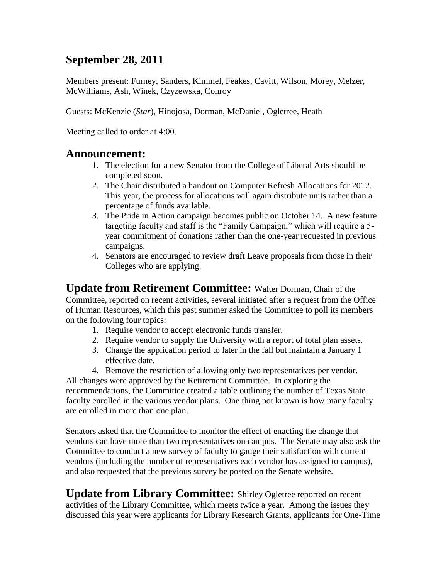### **September 28, 2011**

Members present: Furney, Sanders, Kimmel, Feakes, Cavitt, Wilson, Morey, Melzer, McWilliams, Ash, Winek, Czyzewska, Conroy

Guests: McKenzie (*Star*), Hinojosa, Dorman, McDaniel, Ogletree, Heath

Meeting called to order at 4:00.

#### **Announcement:**

- 1. The election for a new Senator from the College of Liberal Arts should be completed soon.
- 2. The Chair distributed a handout on Computer Refresh Allocations for 2012. This year, the process for allocations will again distribute units rather than a percentage of funds available.
- 3. The Pride in Action campaign becomes public on October 14. A new feature targeting faculty and staff is the "Family Campaign," which will require a 5 year commitment of donations rather than the one-year requested in previous campaigns.
- 4. Senators are encouraged to review draft Leave proposals from those in their Colleges who are applying.

**Update from Retirement Committee:** Walter Dorman, Chair of the Committee, reported on recent activities, several initiated after a request from the Office of Human Resources, which this past summer asked the Committee to poll its members on the following four topics:

- 1. Require vendor to accept electronic funds transfer.
- 2. Require vendor to supply the University with a report of total plan assets.
- 3. Change the application period to later in the fall but maintain a January 1 effective date.
- 4. Remove the restriction of allowing only two representatives per vendor.

All changes were approved by the Retirement Committee. In exploring the recommendations, the Committee created a table outlining the number of Texas State faculty enrolled in the various vendor plans. One thing not known is how many faculty are enrolled in more than one plan.

Senators asked that the Committee to monitor the effect of enacting the change that vendors can have more than two representatives on campus. The Senate may also ask the Committee to conduct a new survey of faculty to gauge their satisfaction with current vendors (including the number of representatives each vendor has assigned to campus), and also requested that the previous survey be posted on the Senate website.

**Update from Library Committee:** Shirley Ogletree reported on recent activities of the Library Committee, which meets twice a year. Among the issues they discussed this year were applicants for Library Research Grants, applicants for One-Time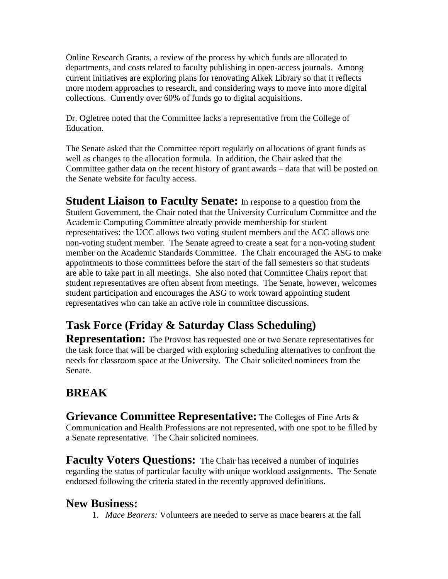Online Research Grants, a review of the process by which funds are allocated to departments, and costs related to faculty publishing in open-access journals. Among current initiatives are exploring plans for renovating Alkek Library so that it reflects more modern approaches to research, and considering ways to move into more digital collections. Currently over 60% of funds go to digital acquisitions.

Dr. Ogletree noted that the Committee lacks a representative from the College of Education.

The Senate asked that the Committee report regularly on allocations of grant funds as well as changes to the allocation formula. In addition, the Chair asked that the Committee gather data on the recent history of grant awards – data that will be posted on the Senate website for faculty access.

**Student Liaison to Faculty Senate:** In response to a question from the Student Government, the Chair noted that the University Curriculum Committee and the Academic Computing Committee already provide membership for student representatives: the UCC allows two voting student members and the ACC allows one non-voting student member. The Senate agreed to create a seat for a non-voting student member on the Academic Standards Committee. The Chair encouraged the ASG to make appointments to those committees before the start of the fall semesters so that students are able to take part in all meetings. She also noted that Committee Chairs report that student representatives are often absent from meetings. The Senate, however, welcomes student participation and encourages the ASG to work toward appointing student representatives who can take an active role in committee discussions.

# **Task Force (Friday & Saturday Class Scheduling)**

**Representation:** The Provost has requested one or two Senate representatives for the task force that will be charged with exploring scheduling alternatives to confront the needs for classroom space at the University. The Chair solicited nominees from the Senate.

# **BREAK**

**Grievance Committee Representative:** The Colleges of Fine Arts & Communication and Health Professions are not represented, with one spot to be filled by a Senate representative. The Chair solicited nominees.

**Faculty Voters Questions:** The Chair has received a number of inquiries regarding the status of particular faculty with unique workload assignments. The Senate endorsed following the criteria stated in the recently approved definitions.

### **New Business:**

1. *Mace Bearers:* Volunteers are needed to serve as mace bearers at the fall